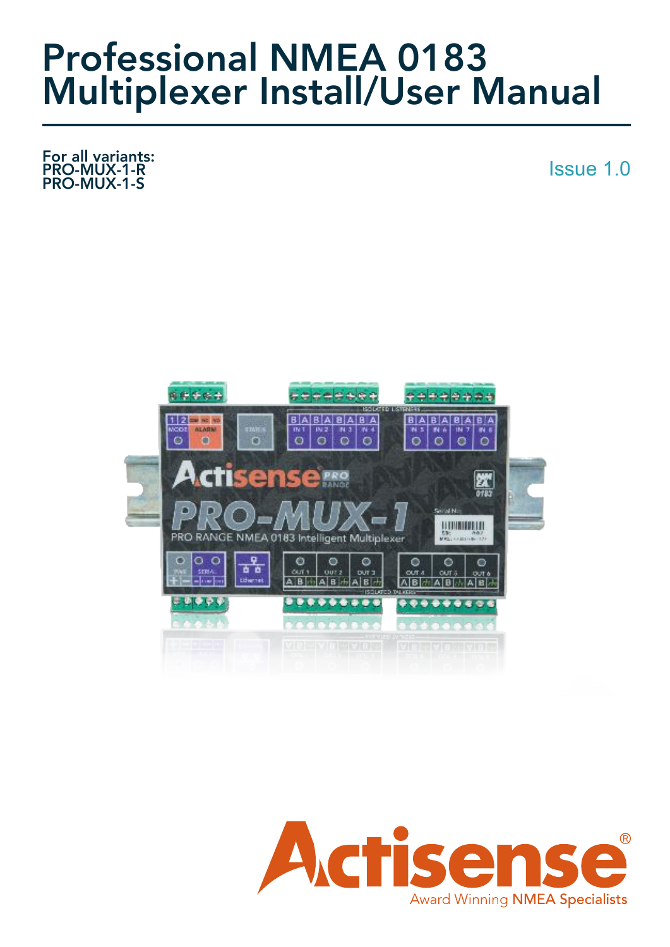# Professional NMEA 0183 Multiplexer Install/User Manual

For all variants: PRO-MUX-1-R PRO-MUX-1-S

Issue 1.0



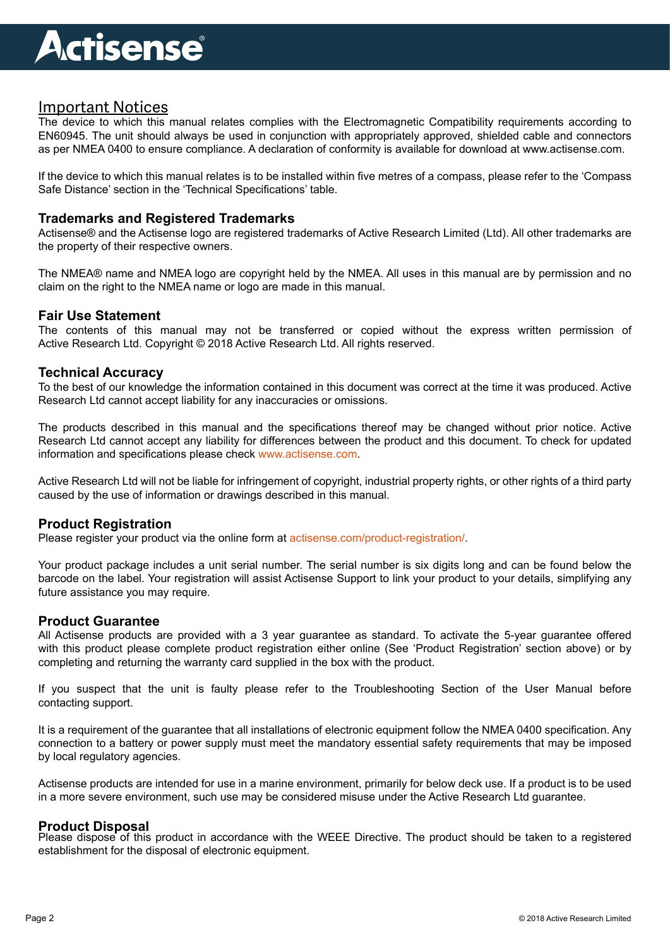### <span id="page-1-0"></span>Important Notices

The device to which this manual relates complies with the Electromagnetic Compatibility requirements according to EN60945. The unit should always be used in conjunction with appropriately approved, shielded cable and connectors as per NMEA 0400 to ensure compliance. A declaration of conformity is available for download at www.actisense.com.

If the device to which this manual relates is to be installed within five metres of a compass, please refer to the 'Compass Safe Distance' section in the 'Technical Specifications' table.

#### **Trademarks and Registered Trademarks**

Actisense® and the Actisense logo are registered trademarks of Active Research Limited (Ltd). All other trademarks are the property of their respective owners.

The NMEA® name and NMEA logo are copyright held by the NMEA. All uses in this manual are by permission and no claim on the right to the NMEA name or logo are made in this manual.

#### **Fair Use Statement**

The contents of this manual may not be transferred or copied without the express written permission of Active Research Ltd. Copyright © 2018 Active Research Ltd. All rights reserved.

#### **Technical Accuracy**

To the best of our knowledge the information contained in this document was correct at the time it was produced. Active Research Ltd cannot accept liability for any inaccuracies or omissions.

The products described in this manual and the specifications thereof may be changed without prior notice. Active Research Ltd cannot accept any liability for differences between the product and this document. To check for updated information and specifications please check [www.actisense.com](http://www.actisense.com).

Active Research Ltd will not be liable for infringement of copyright, industrial property rights, or other rights of a third party caused by the use of information or drawings described in this manual.

#### **Product Registration**

Please register your product via the online form at [actisense.com/product-registration/](http://actisense.com/product-registration/).

Your product package includes a unit serial number. The serial number is six digits long and can be found below the barcode on the label. Your registration will assist Actisense Support to link your product to your details, simplifying any future assistance you may require.

#### **Product Guarantee**

All Actisense products are provided with a 3 year guarantee as standard. To activate the 5-year guarantee offered with this product please complete product registration either online (See 'Product Registration' section above) or by completing and returning the warranty card supplied in the box with the product.

If you suspect that the unit is faulty please refer to the Troubleshooting Section of the User Manual before contacting support.

It is a requirement of the guarantee that all installations of electronic equipment follow the NMEA 0400 specification. Any connection to a battery or power supply must meet the mandatory essential safety requirements that may be imposed by local regulatory agencies.

Actisense products are intended for use in a marine environment, primarily for below deck use. If a product is to be used in a more severe environment, such use may be considered misuse under the Active Research Ltd guarantee.

#### **Product Disposal**

Please dispose of this product in accordance with the WEEE Directive. The product should be taken to a registered establishment for the disposal of electronic equipment.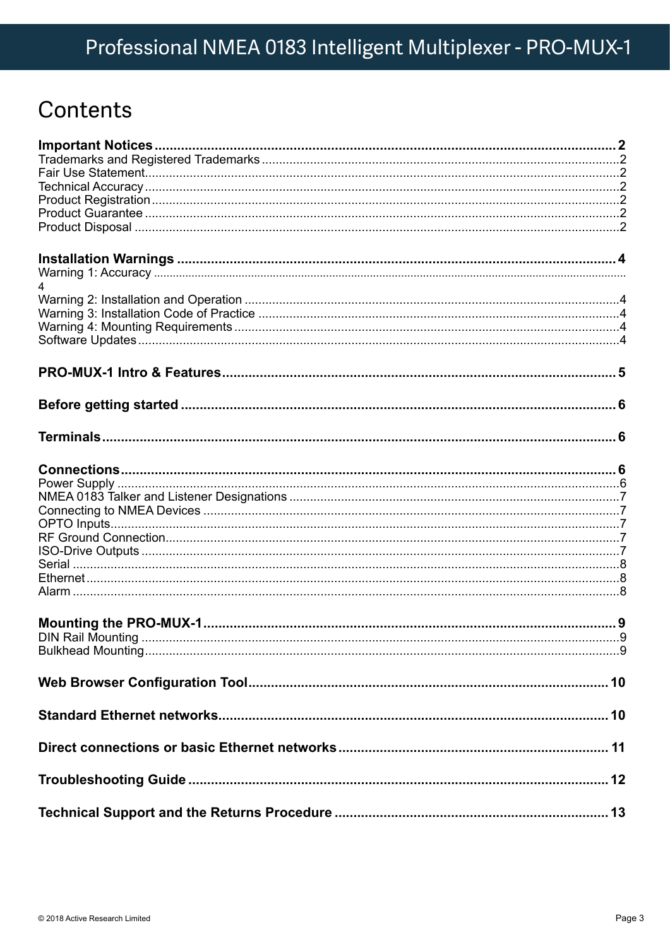# Contents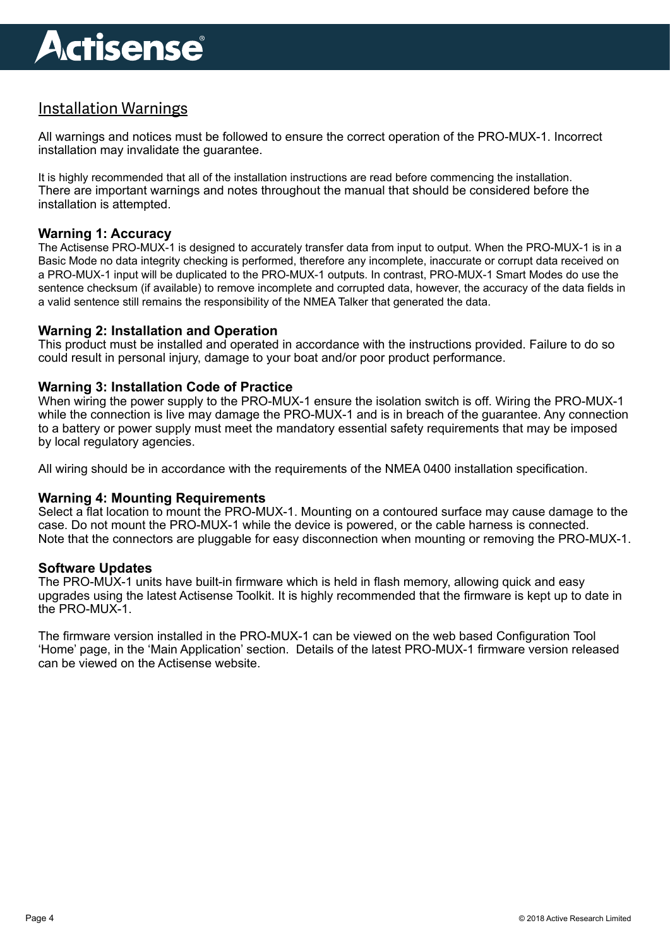## <span id="page-3-0"></span>Installation Warnings

All warnings and notices must be followed to ensure the correct operation of the PRO-MUX-1. Incorrect installation may invalidate the guarantee.

It is highly recommended that all of the installation instructions are read before commencing the installation. There are important warnings and notes throughout the manual that should be considered before the installation is attempted.

#### **Warning 1: Accuracy**

The Actisense PRO-MUX-1 is designed to accurately transfer data from input to output. When the PRO-MUX-1 is in a Basic Mode no data integrity checking is performed, therefore any incomplete, inaccurate or corrupt data received on a PRO-MUX-1 input will be duplicated to the PRO-MUX-1 outputs. In contrast, PRO-MUX-1 Smart Modes do use the sentence checksum (if available) to remove incomplete and corrupted data, however, the accuracy of the data fields in a valid sentence still remains the responsibility of the NMEA Talker that generated the data.

#### **Warning 2: Installation and Operation**

This product must be installed and operated in accordance with the instructions provided. Failure to do so could result in personal injury, damage to your boat and/or poor product performance.

#### **Warning 3: Installation Code of Practice**

When wiring the power supply to the PRO-MUX-1 ensure the isolation switch is off. Wiring the PRO-MUX-1 while the connection is live may damage the PRO-MUX-1 and is in breach of the guarantee. Any connection to a battery or power supply must meet the mandatory essential safety requirements that may be imposed by local regulatory agencies.

All wiring should be in accordance with the requirements of the NMEA 0400 installation specification.

#### **Warning 4: Mounting Requirements**

Select a flat location to mount the PRO-MUX-1. Mounting on a contoured surface may cause damage to the case. Do not mount the PRO-MUX-1 while the device is powered, or the cable harness is connected. Note that the connectors are pluggable for easy disconnection when mounting or removing the PRO-MUX-1.

#### **Software Updates**

The PRO-MUX-1 units have built-in firmware which is held in flash memory, allowing quick and easy upgrades using the latest Actisense Toolkit. It is highly recommended that the firmware is kept up to date in the PRO-MUX-1.

The firmware version installed in the PRO-MUX-1 can be viewed on the web based Configuration Tool 'Home' page, in the 'Main Application' section. Details of the latest PRO-MUX-1 firmware version released can be viewed on the Actisense website.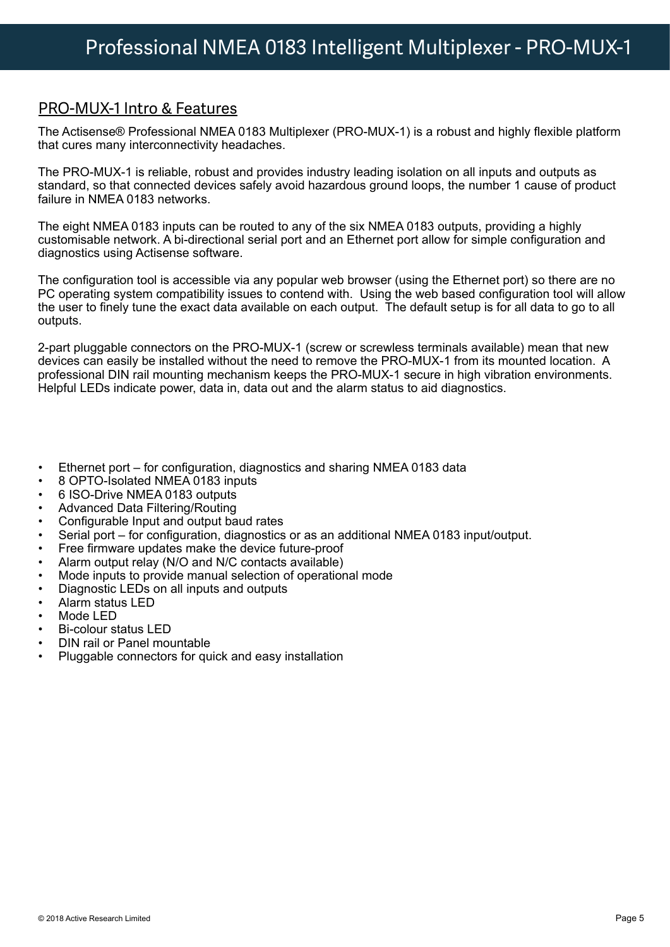### <span id="page-4-0"></span>PRO-MUX-1 Intro & Features

The Actisense® Professional NMEA 0183 Multiplexer (PRO-MUX-1) is a robust and highly flexible platform that cures many interconnectivity headaches.

The PRO-MUX-1 is reliable, robust and provides industry leading isolation on all inputs and outputs as standard, so that connected devices safely avoid hazardous ground loops, the number 1 cause of product failure in NMEA 0183 networks.

The eight NMEA 0183 inputs can be routed to any of the six NMEA 0183 outputs, providing a highly customisable network. A bi-directional serial port and an Ethernet port allow for simple configuration and diagnostics using Actisense software.

The configuration tool is accessible via any popular web browser (using the Ethernet port) so there are no PC operating system compatibility issues to contend with. Using the web based configuration tool will allow the user to finely tune the exact data available on each output. The default setup is for all data to go to all outputs.

2-part pluggable connectors on the PRO-MUX-1 (screw or screwless terminals available) mean that new devices can easily be installed without the need to remove the PRO-MUX-1 from its mounted location. A professional DIN rail mounting mechanism keeps the PRO-MUX-1 secure in high vibration environments. Helpful LEDs indicate power, data in, data out and the alarm status to aid diagnostics.

- Ethernet port for configuration, diagnostics and sharing NMEA 0183 data
- 8 OPTO-Isolated NMEA 0183 inputs
- 6 ISO-Drive NMEA 0183 outputs
- Advanced Data Filtering/Routing
- Configurable Input and output baud rates
- Serial port for configuration, diagnostics or as an additional NMEA 0183 input/output.
- Free firmware updates make the device future-proof
- Alarm output relay (N/O and N/C contacts available)
- Mode inputs to provide manual selection of operational mode
- Diagnostic LEDs on all inputs and outputs
- Alarm status LED
- Mode LED
- Bi-colour status LED
- DIN rail or Panel mountable
- Pluggable connectors for quick and easy installation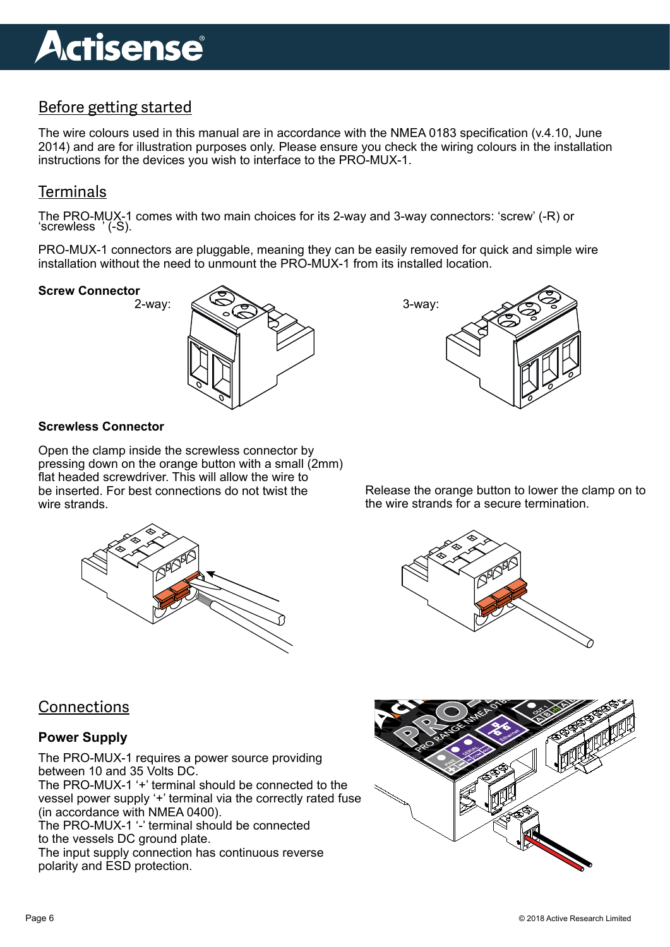# <span id="page-5-0"></span>Before getting started

The wire colours used in this manual are in accordance with the NMEA 0183 specification (v.4.10, June 2014) and are for illustration purposes only. Please ensure you check the wiring colours in the installation instructions for the devices you wish to interface to the PRO-MUX-1.

# **Terminals**

The PRO-MUX-1 comes with two main choices for its 2-way and 3-way connectors: 'screw' (-R) or 'screwless ' (-S).

PRO-MUX-1 connectors are pluggable, meaning they can be easily removed for quick and simple wire installation without the need to unmount the PRO-MUX-1 from its installed location.

# **Screw Connector**<br>2-way:





#### **Screwless Connector**

Open the clamp inside the screwless connector by pressing down on the orange button with a small (2mm) flat headed screwdriver. This will allow the wire to be inserted. For best connections do not twist the wire strands.



Release the orange button to lower the clamp on to the wire strands for a secure termination.



# Connections

### **Power Supply**

The PRO-MUX-1 requires a power source providing between 10 and 35 Volts DC.

The PRO-MUX-1 '+' terminal should be connected to the vessel power supply '+' terminal via the correctly rated fuse (in accordance with NMEA 0400).

The PRO-MUX-1 '-' terminal should be connected to the vessels DC ground plate.

The input supply connection has continuous reverse polarity and ESD protection.

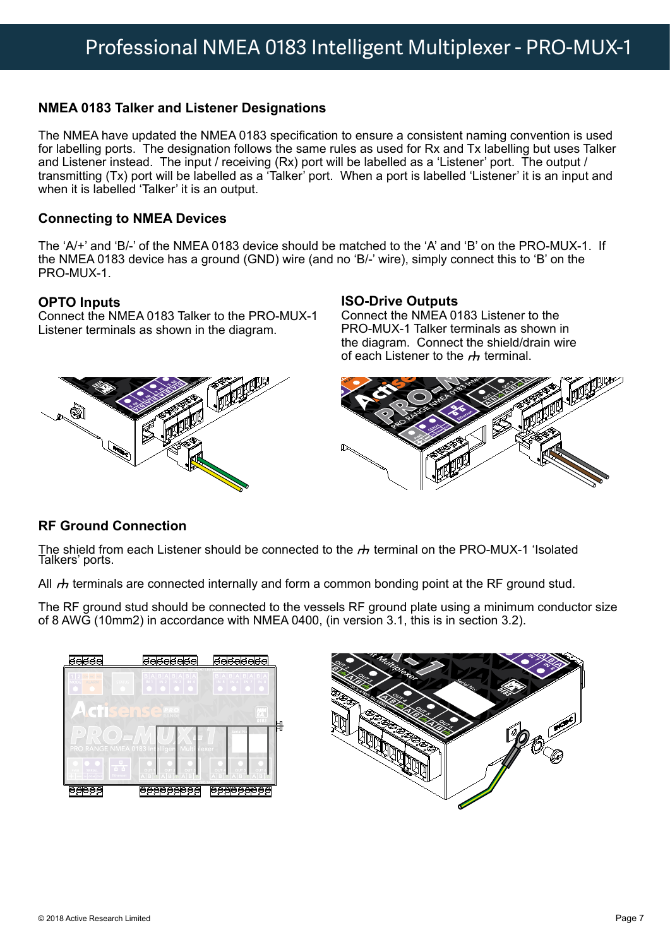#### <span id="page-6-0"></span>**NMEA 0183 Talker and Listener Designations**

The NMEA have updated the NMEA 0183 specification to ensure a consistent naming convention is used for labelling ports. The designation follows the same rules as used for Rx and Tx labelling but uses Talker and Listener instead. The input / receiving (Rx) port will be labelled as a 'Listener' port. The output / transmitting (Tx) port will be labelled as a 'Talker' port. When a port is labelled 'Listener' it is an input and when it is labelled 'Talker' it is an output.

#### **Connecting to NMEA Devices**

The 'A/+' and 'B/-' of the NMEA 0183 device should be matched to the 'A' and 'B' on the PRO-MUX-1. If the NMEA 0183 device has a ground (GND) wire (and no 'B/-' wire), simply connect this to 'B' on the PRO-MUX-1.

#### **OPTO Inputs**

Connect the NMEA 0183 Talker to the PRO-MUX-1 Listener terminals as shown in the diagram.



#### **ISO-Drive Outputs**

Connect the NMEA 0183 Listener to the PRO-MUX-1 Talker terminals as shown in the diagram. Connect the shield/drain wire of each Listener to the  $H$  terminal.



#### **RF Ground Connection**

The shield from each Listener should be connected to the  $\boldsymbol{\tau}$  terminal on the PRO-MUX-1 'Isolated Talkers' ports.

All  $H$  terminals are connected internally and form a common bonding point at the RF ground stud.

The RF ground stud should be connected to the vessels RF ground plate using a minimum conductor size of 8 AWG (10mm2) in accordance with NMEA 0400, (in version 3.1, this is in section 3.2).



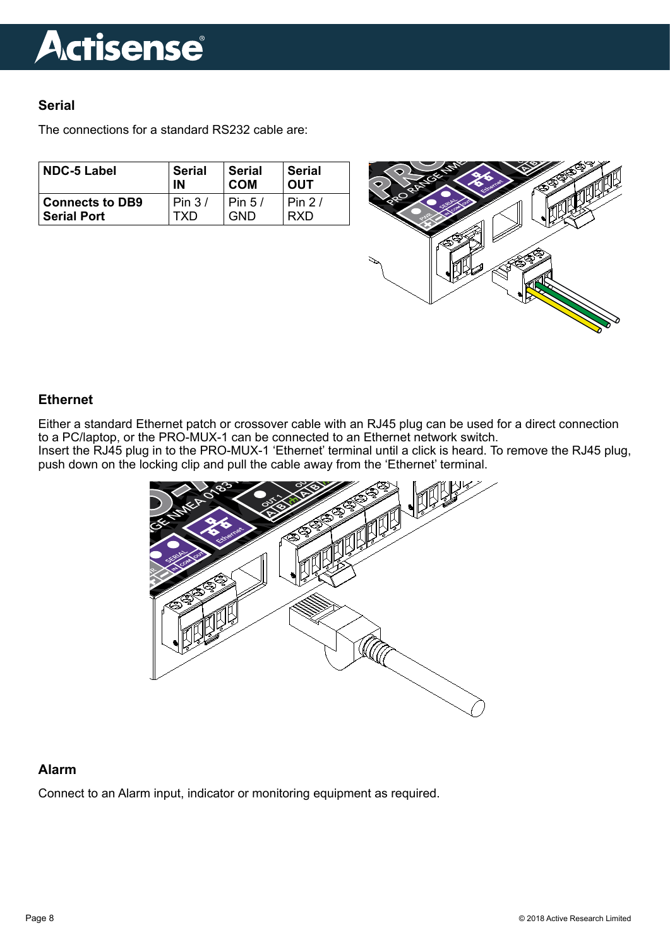### <span id="page-7-0"></span>**Serial**

The connections for a standard RS232 cable are:

| <b>NDC-5 Label</b>     | <b>Serial</b> | Serial     | Serial     |
|------------------------|---------------|------------|------------|
|                        | ΙN            | <b>COM</b> | <b>OUT</b> |
| <b>Connects to DB9</b> | Pin $3/$      | Pin $5/$   | Pin $2/$   |
| <b>Serial Port</b>     | TXD           | GND        | <b>RXD</b> |



#### **Ethernet**

Either a standard Ethernet patch or crossover cable with an RJ45 plug can be used for a direct connection to a PC/laptop, or the PRO-MUX-1 can be connected to an Ethernet network switch.

Insert the RJ45 plug in to the PRO-MUX-1 'Ethernet' terminal until a click is heard. To remove the RJ45 plug, push down on the locking clip and pull the cable away from the 'Ethernet' terminal.



### **Alarm**

Connect to an Alarm input, indicator or monitoring equipment as required.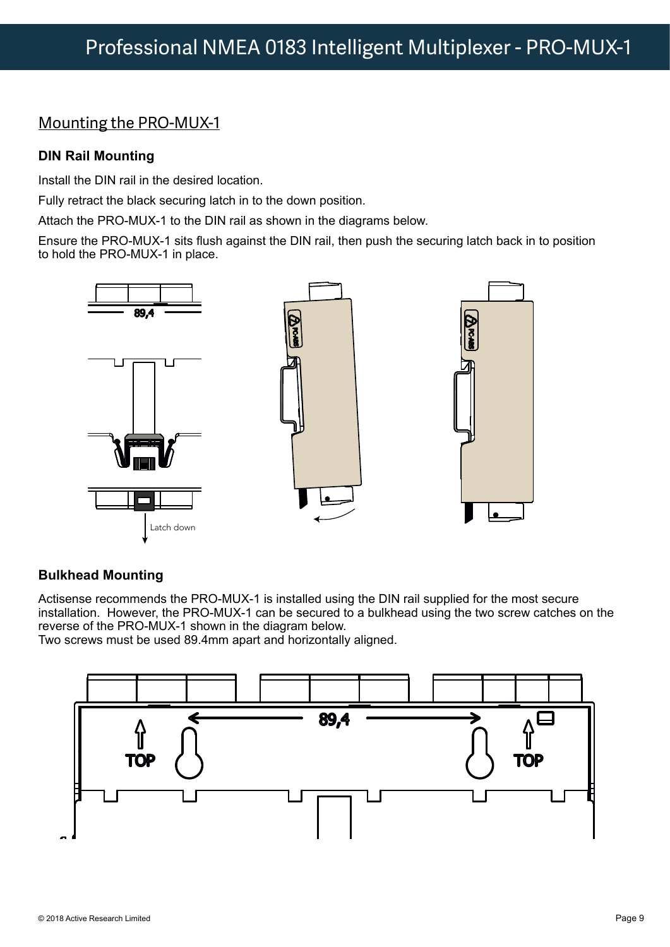# <span id="page-8-0"></span>Mounting the PRO-MUX-1

### **DIN Rail Mounting**

Install the DIN rail in the desired location.

Fully retract the black securing latch in to the down position.

Attach the PRO-MUX-1 to the DIN rail as shown in the diagrams below.

Ensure the PRO-MUX-1 sits flush against the DIN rail, then push the securing latch back in to position to hold the PRO-MUX-1 in place.



## **Bulkhead Mounting**

Actisense recommends the PRO-MUX-1 is installed using the DIN rail supplied for the most secure installation. However, the PRO-MUX-1 can be secured to a bulkhead using the two screw catches on the reverse of the PRO-MUX-1 shown in the diagram below.

Two screws must be used 89.4mm apart and horizontally aligned.

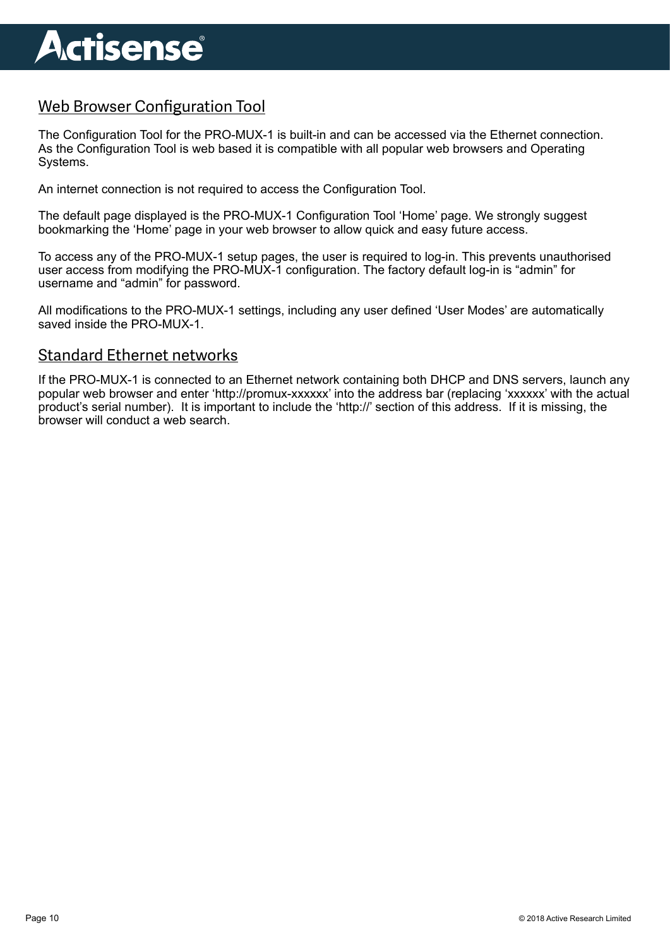# <span id="page-9-0"></span>Web Browser Configuration Tool

The Configuration Tool for the PRO-MUX-1 is built-in and can be accessed via the [Ethernet connection.](#page-7-0) As the Configuration Tool is web based it is compatible with all popular web browsers and Operating Systems.

An internet connection is not required to access the Configuration Tool.

The default page displayed is the PRO-MUX-1 Configuration Tool 'Home' page. We strongly suggest bookmarking the 'Home' page in your web browser to allow quick and easy future access.

To access any of the PRO-MUX-1 setup pages, the user is required to log-in. This prevents unauthorised user access from modifying the PRO-MUX-1 configuration. The factory default log-in is "admin" for username and "admin" for password.

All modifications to the PRO-MUX-1 settings, including any user defined 'User Modes' are automatically saved inside the PRO-MUX-1.

### Standard Ethernet networks

If the PRO-MUX-1 is connected to an Ethernet network containing both DHCP and DNS servers, launch any popular web browser and enter 'http://promux-xxxxxx' into the address bar (replacing 'xxxxxx' with the actual product's serial number). It is important to include the 'http://' section of this address. If it is missing, the browser will conduct a web search.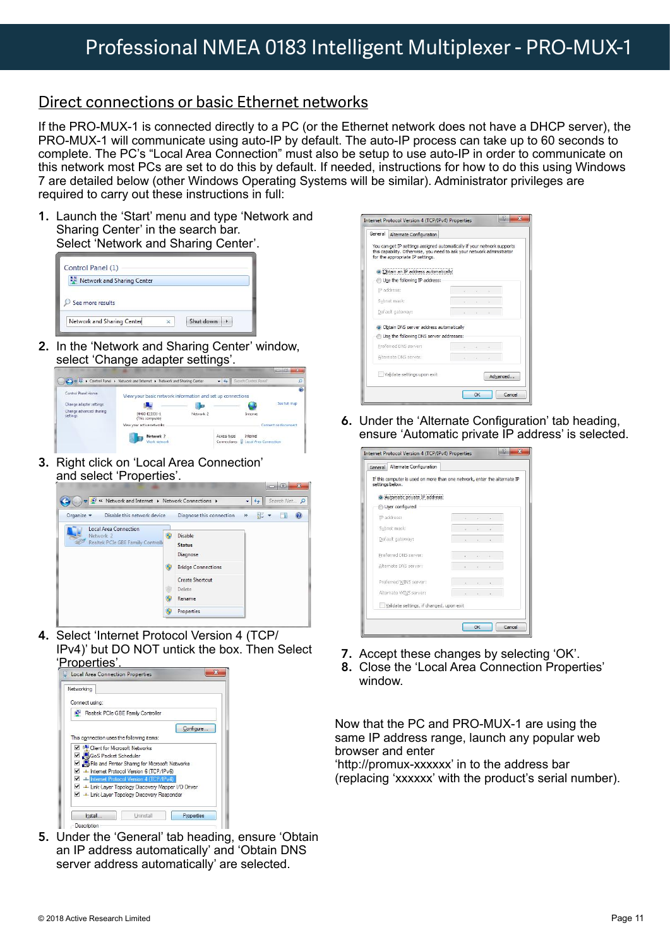# <span id="page-10-0"></span>Direct connections or basic Ethernet networks

If the PRO-MUX-1 is connected directly to a PC (or the Ethernet network does not have a DHCP server), the PRO-MUX-1 will communicate using auto-IP by default. The auto-IP process can take up to 60 seconds to complete. The PC's "Local Area Connection" must also be setup to use auto-IP in order to communicate on this network most PCs are set to do this by default. If needed, instructions for how to do this using Windows 7 are detailed below (other Windows Operating Systems will be similar). Administrator privileges are required to carry out these instructions in full:

1. Launch the 'Start' menu and type 'Network and Sharing Center' in the search bar. Select 'Network and Sharing Center'.

| Control Panel (1)          |  |
|----------------------------|--|
| Network and Sharing Center |  |
|                            |  |
| See more results           |  |

2. In the 'Network and Sharing Center' window, select 'Change adapter settings'.

| Control Panel Home                  | View your basic network information and set up connections |           |          |                       |
|-------------------------------------|------------------------------------------------------------|-----------|----------|-----------------------|
| Change adapter settings             |                                                            |           |          | See full map          |
| Change advanced sharing<br>settings | S4460-E23335-1<br>(This computer)                          | Network 2 | Internet |                       |
|                                     | View your active networks                                  |           |          | Connect or disconnect |

3. Right click on 'Local Area Connection' and select 'Properties'.



4. Select 'Internet Protocol Version 4 (TCP/ IPv4)' but DO NOT untick the box. Then Select 'Properties'.<br> **I** Local Area Connection Properties



5. Under the 'General' tab heading, ensure 'Obtain an IP address automatically' and 'Obtain DNS server address automatically' are selected.



6. Under the 'Alternate Configuration' tab heading, ensure 'Automatic private IP address' is selected.



- 7. Accept these changes by selecting 'OK'.
- 8. Close the 'Local Area Connection Properties' window.

Now that the PC and PRO-MUX-1 are using the same IP address range, launch any popular web browser and enter

'http://promux-xxxxxx' in to the address bar (replacing 'xxxxxx' with the product's serial number).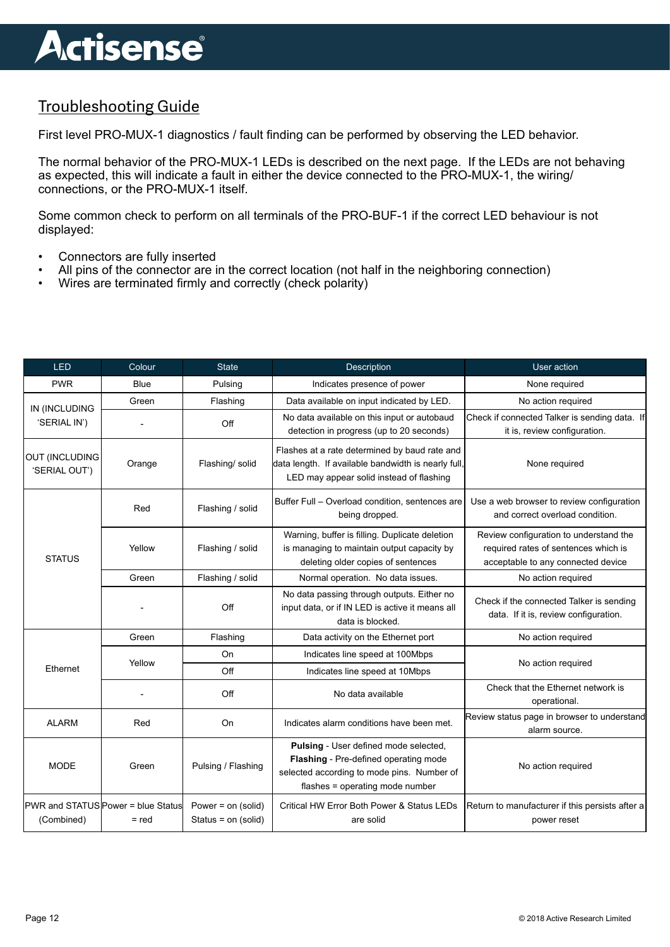# <span id="page-11-0"></span>Troubleshooting Guide

First level PRO-MUX-1 diagnostics / fault finding can be performed by observing the LED behavior.

The normal behavior of the PRO-MUX-1 LEDs is described on the next page. If the LEDs are not behaving as expected, this will indicate a fault in either the device connected to the PRO-MUX-1, the wiring/ connections, or the PRO-MUX-1 itself.

Some common check to perform on all terminals of the PRO-BUF-1 if the correct LED behaviour is not displayed:

- Connectors are fully inserted
- All pins of the connector are in the correct location (not half in the neighboring connection)
- Wires are terminated firmly and correctly (check polarity)

| <b>LED</b>                      | Colour                                      | <b>State</b>                                  | <b>Description</b>                                                                                                                                              | User action                                                                                                          |                    |
|---------------------------------|---------------------------------------------|-----------------------------------------------|-----------------------------------------------------------------------------------------------------------------------------------------------------------------|----------------------------------------------------------------------------------------------------------------------|--------------------|
| <b>PWR</b>                      | <b>Blue</b>                                 | Pulsing                                       | Indicates presence of power                                                                                                                                     | None required                                                                                                        |                    |
| IN (INCLUDING                   | Green                                       | Flashing                                      | Data available on input indicated by LED.                                                                                                                       | No action required                                                                                                   |                    |
| 'SERIAL IN')                    |                                             | Off                                           | No data available on this input or autobaud<br>detection in progress (up to 20 seconds)                                                                         | Check if connected Talker is sending data. If<br>it is, review configuration.                                        |                    |
| OUT (INCLUDING<br>'SERIAL OUT') | Orange                                      | Flashing/ solid                               | Flashes at a rate determined by baud rate and<br>data length. If available bandwidth is nearly full,<br>LED may appear solid instead of flashing                | None required                                                                                                        |                    |
| <b>STATUS</b>                   | Red                                         | Flashing / solid                              | Buffer Full - Overload condition, sentences are<br>being dropped.                                                                                               | Use a web browser to review configuration<br>and correct overload condition.                                         |                    |
|                                 | Yellow                                      | Flashing / solid                              | Warning, buffer is filling. Duplicate deletion<br>is managing to maintain output capacity by<br>deleting older copies of sentences                              | Review configuration to understand the<br>required rates of sentences which is<br>acceptable to any connected device |                    |
|                                 | Green                                       | Flashing / solid                              | Normal operation. No data issues.                                                                                                                               | No action required                                                                                                   |                    |
|                                 |                                             | Off                                           | No data passing through outputs. Either no<br>input data, or if IN LED is active it means all<br>data is blocked.                                               | Check if the connected Talker is sending<br>data. If it is, review configuration.                                    |                    |
|                                 | Green                                       | Flashing                                      | Data activity on the Ethernet port                                                                                                                              | No action required                                                                                                   |                    |
| Ethernet                        |                                             | Yellow                                        | On                                                                                                                                                              | Indicates line speed at 100Mbps                                                                                      | No action required |
|                                 |                                             | Off                                           | Indicates line speed at 10Mbps                                                                                                                                  |                                                                                                                      |                    |
|                                 |                                             | Off                                           | No data available                                                                                                                                               | Check that the Ethernet network is<br>operational.                                                                   |                    |
| <b>ALARM</b>                    | Red                                         | On                                            | Indicates alarm conditions have been met.                                                                                                                       | Review status page in browser to understand<br>alarm source.                                                         |                    |
| <b>MODE</b>                     | Green                                       | Pulsing / Flashing                            | Pulsing - User defined mode selected,<br>Flashing - Pre-defined operating mode<br>selected according to mode pins. Number of<br>flashes = operating mode number | No action required                                                                                                   |                    |
| (Combined)                      | PWR and STATUS Power = blue Status<br>= red | Power = $on (solid)$<br>Status = $on$ (solid) | Critical HW Error Both Power & Status LEDs<br>are solid                                                                                                         | Return to manufacturer if this persists after a<br>power reset                                                       |                    |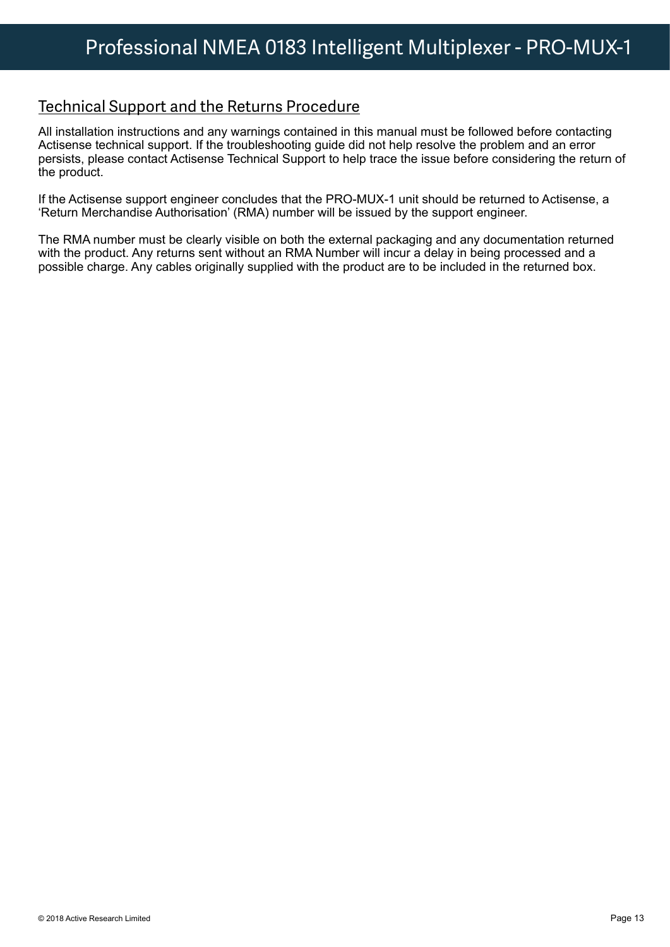## <span id="page-12-0"></span>Technical Support and the Returns Procedure

All installation instructions and any warnings contained in this manual must be followed before contacting Actisense technical support. If the troubleshooting guide did not help resolve the problem and an error persists, please contact Actisense Technical Support to help trace the issue before considering the return of the product.

If the Actisense support engineer concludes that the PRO-MUX-1 unit should be returned to Actisense, a 'Return Merchandise Authorisation' (RMA) number will be issued by the support engineer.

The RMA number must be clearly visible on both the external packaging and any documentation returned with the product. Any returns sent without an RMA Number will incur a delay in being processed and a possible charge. Any cables originally supplied with the product are to be included in the returned box.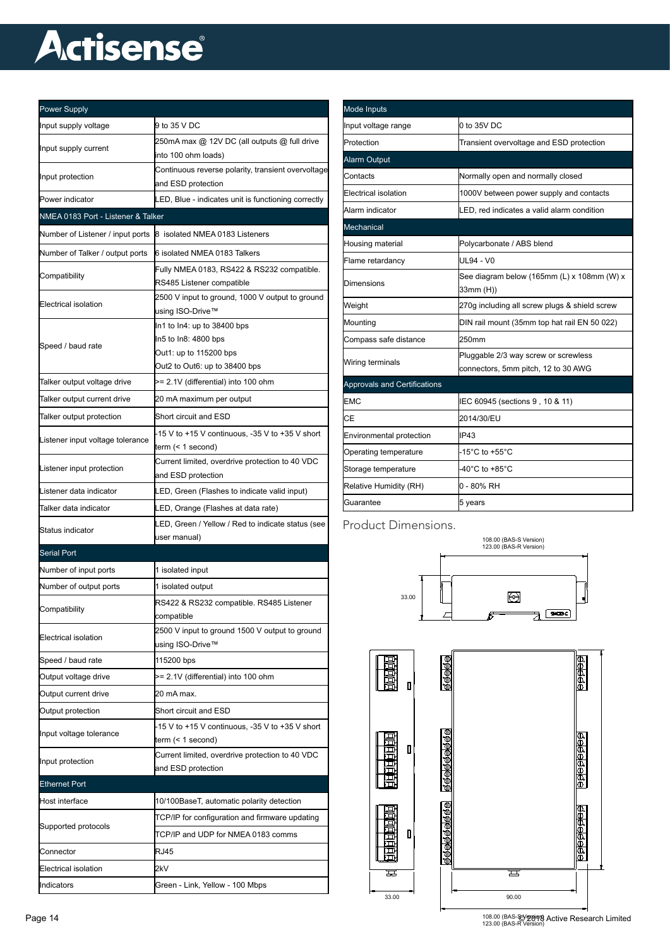| <b>Power Supply</b>                |                                                         |  |  |
|------------------------------------|---------------------------------------------------------|--|--|
| Input supply voltage               | 9 to 35 V DC                                            |  |  |
|                                    | 250mA max @ 12V DC (all outputs @ full drive            |  |  |
| Input supply current               | into 100 ohm loads)                                     |  |  |
| Input protection                   | Continuous reverse polarity, transient overvoltage      |  |  |
|                                    | and ESD protection                                      |  |  |
| Power indicator                    | LED, Blue - indicates unit is functioning correctly     |  |  |
| NMEA 0183 Port - Listener & Talker |                                                         |  |  |
| Number of Listener / input ports   | 8 isolated NMEA 0183 Listeners                          |  |  |
| Number of Talker / output ports    | 6 isolated NMEA 0183 Talkers                            |  |  |
|                                    | Fully NMEA 0183, RS422 & RS232 compatible.              |  |  |
| Compatibility                      | RS485 Listener compatible                               |  |  |
| Electrical isolation               | 2500 V input to ground, 1000 V output to ground         |  |  |
|                                    | using ISO-Drive™                                        |  |  |
|                                    | In1 to In4: up to 38400 bps                             |  |  |
| Speed / baud rate                  | ln5 to ln8: 4800 bps                                    |  |  |
|                                    | Out1: up to 115200 bps<br>Out2 to Out6: up to 38400 bps |  |  |
|                                    |                                                         |  |  |
| Talker output voltage drive        | >= 2.1V (differential) into 100 ohm                     |  |  |
| Talker output current drive        | 20 mA maximum per output                                |  |  |
| Talker output protection           | Short circuit and ESD                                   |  |  |
| Listener input voltage tolerance   | -15 V to +15 V continuous, -35 V to +35 V short         |  |  |
|                                    | term (< 1 second)                                       |  |  |
| Listener input protection          | Current limited, overdrive protection to 40 VDC         |  |  |
|                                    | and ESD protection                                      |  |  |
| Listener data indicator            | LED, Green (Flashes to indicate valid input)            |  |  |
| Talker data indicator              | LED, Orange (Flashes at data rate)                      |  |  |
| Status indicator                   | LED, Green / Yellow / Red to indicate status (see       |  |  |
|                                    | user manual)                                            |  |  |
| <b>Serial Port</b>                 |                                                         |  |  |
| Number of input ports              | 1 isolated input                                        |  |  |
| Number of output ports             | 1 isolated output                                       |  |  |
| Compatibility                      | RS422 & RS232 compatible. RS485 Listener                |  |  |
|                                    | compatible                                              |  |  |
| Electrical isolation               | 2500 V input to ground 1500 V output to ground          |  |  |
|                                    | using ISO-Drive™                                        |  |  |
| Speed / baud rate                  | 115200 bps                                              |  |  |
| Output voltage drive               | >= 2.1V (differential) into 100 ohm                     |  |  |
|                                    | 20 mA max.                                              |  |  |
| Output current drive               |                                                         |  |  |
| Output protection                  | Short circuit and ESD                                   |  |  |
|                                    | -15 V to +15 V continuous, -35 V to +35 V short         |  |  |
| Input voltage tolerance            | term $(< 1$ second)                                     |  |  |
| Input protection                   | Current limited, overdrive protection to 40 VDC         |  |  |
|                                    | and ESD protection                                      |  |  |
| <b>Ethernet Port</b>               |                                                         |  |  |
| Host interface                     | 10/100BaseT, automatic polarity detection               |  |  |
|                                    | TCP/IP for configuration and firmware updating          |  |  |
| Supported protocols                | TCP/IP and UDP for NMEA 0183 comms                      |  |  |
| Connector                          | <b>RJ45</b>                                             |  |  |
| Electrical isolation               | 2kV                                                     |  |  |

| Mode Inputs                         |                                                                             |
|-------------------------------------|-----------------------------------------------------------------------------|
| Input voltage range                 | 0 to 35V DC                                                                 |
| Protection                          | Transient overvoltage and ESD protection                                    |
| <b>Alarm Output</b>                 |                                                                             |
| Contacts                            | Normally open and normally closed                                           |
| Electrical isolation                | 1000V between power supply and contacts                                     |
| Alarm indicator                     | LED, red indicates a valid alarm condition                                  |
| Mechanical                          |                                                                             |
| Housing material                    | Polycarbonate / ABS blend                                                   |
| Flame retardancy                    | <b>UL94 - V0</b>                                                            |
| Dimensions                          | See diagram below (165mm (L) x 108mm (W) x<br>33mm (H))                     |
| Weight                              | 270g including all screw plugs & shield screw                               |
| Mounting                            | DIN rail mount (35mm top hat rail EN 50 022)                                |
| Compass safe distance               | 250mm                                                                       |
| Wiring terminals                    | Pluggable 2/3 way screw or screwless<br>connectors, 5mm pitch, 12 to 30 AWG |
| <b>Approvals and Certifications</b> |                                                                             |
| EMC                                 | IEC 60945 (sections 9, 10 & 11)                                             |
| CЕ                                  | 2014/30/EU                                                                  |
| Environmental protection            | IP43                                                                        |
| Operating temperature               | -15°C to +55°C                                                              |
| Storage temperature                 | 40°C to +85°C                                                               |
| Relative Humidity (RH)              | 0 - 80% RH                                                                  |
| Guarantee                           | 5 years                                                                     |

#### Product Dimensions.





Page 14 © 2018 Active Research Limited 108.00 (BAS-S Version) 123.00 (BAS-R Version)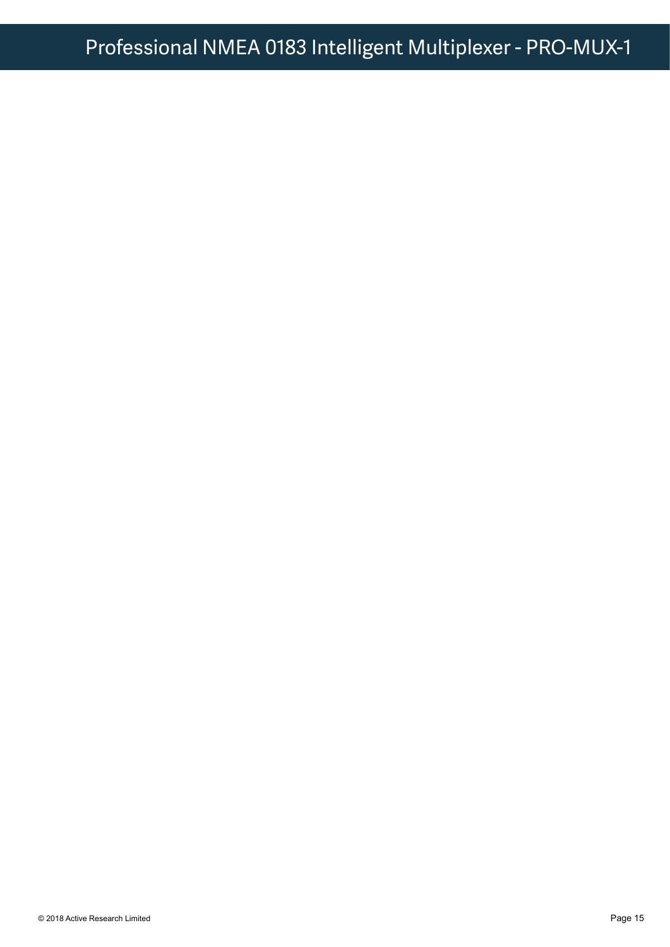# Professional NMEA 0183 Intelligent Multiplexer - PRO-MUX-1